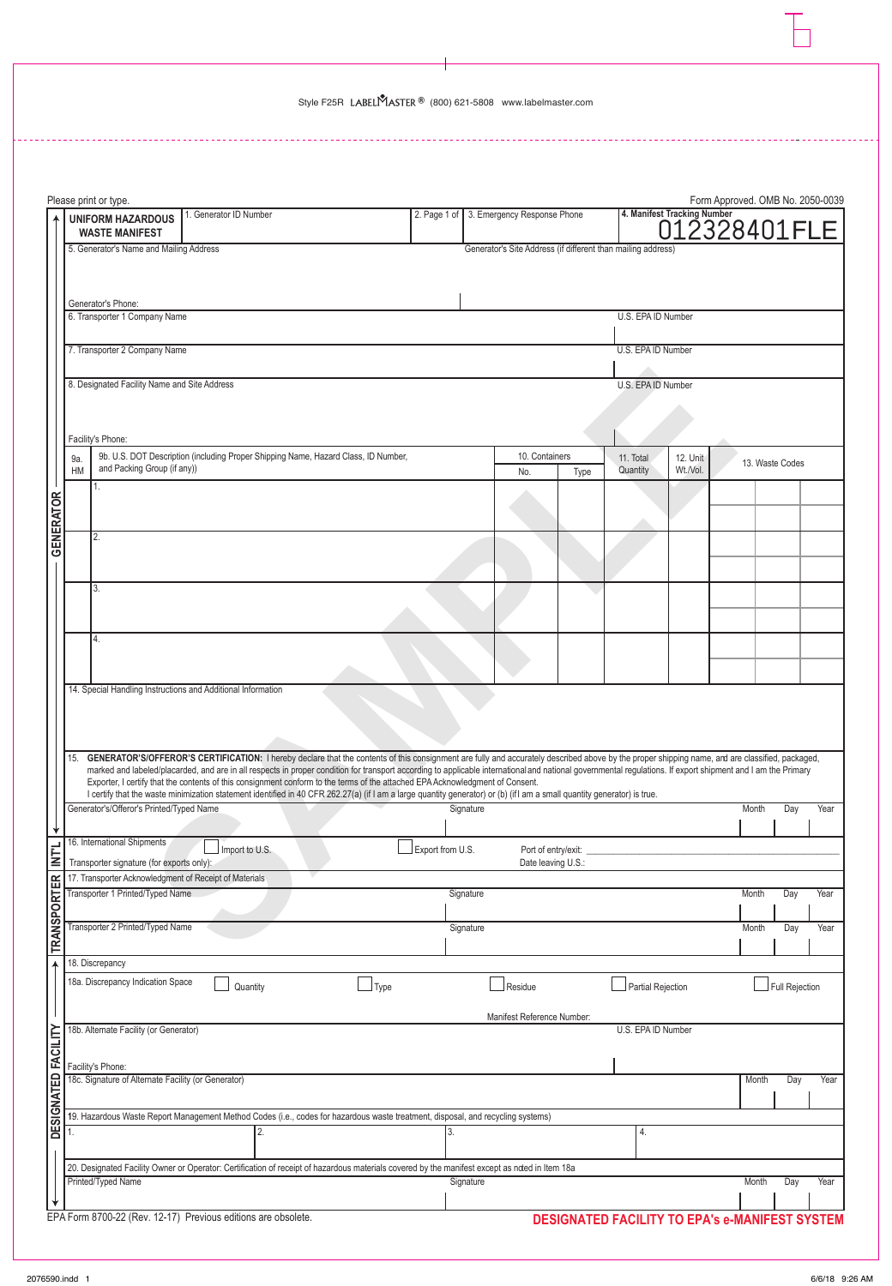L.

|                     |     | Please print or type.                                                                                                                                                                                                                                                                                                                         |                        |                                                                                    |             |                                          |                                                              |      |                                                |                             | Form Approved. OMB No. 2050-0039 |                 |      |  |
|---------------------|-----|-----------------------------------------------------------------------------------------------------------------------------------------------------------------------------------------------------------------------------------------------------------------------------------------------------------------------------------------------|------------------------|------------------------------------------------------------------------------------|-------------|------------------------------------------|--------------------------------------------------------------|------|------------------------------------------------|-----------------------------|----------------------------------|-----------------|------|--|
|                     |     | <b>UNIFORM HAZARDOUS</b><br><b>WASTE MANIFEST</b>                                                                                                                                                                                                                                                                                             | 1. Generator ID Number |                                                                                    |             | 2. Page 1 of 3. Emergency Response Phone |                                                              |      |                                                | 4. Manifest Tracking Number | 012328401FLE                     |                 |      |  |
|                     |     | 5. Generator's Name and Mailing Address                                                                                                                                                                                                                                                                                                       |                        |                                                                                    |             |                                          | Generator's Site Address (if different than mailing address) |      |                                                |                             |                                  |                 |      |  |
|                     |     |                                                                                                                                                                                                                                                                                                                                               |                        |                                                                                    |             |                                          |                                                              |      |                                                |                             |                                  |                 |      |  |
|                     |     | Generator's Phone:                                                                                                                                                                                                                                                                                                                            |                        |                                                                                    |             |                                          |                                                              |      |                                                |                             |                                  |                 |      |  |
|                     |     | 6. Transporter 1 Company Name                                                                                                                                                                                                                                                                                                                 |                        |                                                                                    |             |                                          |                                                              |      | U.S. EPA ID Number                             |                             |                                  |                 |      |  |
|                     |     | 7. Transporter 2 Company Name                                                                                                                                                                                                                                                                                                                 |                        |                                                                                    |             |                                          |                                                              |      | U.S. EPA ID Number                             |                             |                                  |                 |      |  |
|                     |     |                                                                                                                                                                                                                                                                                                                                               |                        |                                                                                    |             |                                          |                                                              |      |                                                |                             |                                  |                 |      |  |
|                     |     | 8. Designated Facility Name and Site Address                                                                                                                                                                                                                                                                                                  |                        |                                                                                    |             |                                          |                                                              |      | U.S. EPA ID Number                             |                             |                                  |                 |      |  |
|                     |     |                                                                                                                                                                                                                                                                                                                                               |                        |                                                                                    |             |                                          |                                                              |      |                                                |                             |                                  |                 |      |  |
|                     |     | Facility's Phone:                                                                                                                                                                                                                                                                                                                             |                        |                                                                                    |             |                                          |                                                              |      |                                                |                             |                                  |                 |      |  |
|                     | 9a. |                                                                                                                                                                                                                                                                                                                                               |                        | 9b. U.S. DOT Description (including Proper Shipping Name, Hazard Class, ID Number, |             |                                          | 10. Containers                                               |      | 11. Total                                      | 12. Unit                    |                                  | 13. Waste Codes |      |  |
|                     | HM  | and Packing Group (if any))<br>1.                                                                                                                                                                                                                                                                                                             |                        |                                                                                    |             |                                          | No.                                                          | Type | Quantity                                       | Wt./Vol.                    |                                  |                 |      |  |
|                     |     |                                                                                                                                                                                                                                                                                                                                               |                        |                                                                                    |             |                                          |                                                              |      |                                                |                             |                                  |                 |      |  |
|                     |     |                                                                                                                                                                                                                                                                                                                                               |                        |                                                                                    |             |                                          |                                                              |      |                                                |                             |                                  |                 |      |  |
| <b>GENERATOR</b>    |     | 2.                                                                                                                                                                                                                                                                                                                                            |                        |                                                                                    |             |                                          |                                                              |      |                                                |                             |                                  |                 |      |  |
|                     |     |                                                                                                                                                                                                                                                                                                                                               |                        |                                                                                    |             |                                          |                                                              |      |                                                |                             |                                  |                 |      |  |
|                     |     | 3.                                                                                                                                                                                                                                                                                                                                            |                        |                                                                                    |             |                                          |                                                              |      |                                                |                             |                                  |                 |      |  |
|                     |     |                                                                                                                                                                                                                                                                                                                                               |                        |                                                                                    |             |                                          |                                                              |      |                                                |                             |                                  |                 |      |  |
|                     |     | 4.                                                                                                                                                                                                                                                                                                                                            |                        |                                                                                    |             |                                          |                                                              |      |                                                |                             |                                  |                 |      |  |
|                     |     |                                                                                                                                                                                                                                                                                                                                               |                        |                                                                                    |             |                                          |                                                              |      |                                                |                             |                                  |                 |      |  |
|                     |     | 14. Special Handling Instructions and Additional Information                                                                                                                                                                                                                                                                                  |                        |                                                                                    |             |                                          |                                                              |      |                                                |                             |                                  |                 |      |  |
|                     |     |                                                                                                                                                                                                                                                                                                                                               |                        |                                                                                    |             |                                          |                                                              |      |                                                |                             |                                  |                 |      |  |
|                     |     |                                                                                                                                                                                                                                                                                                                                               |                        |                                                                                    |             |                                          |                                                              |      |                                                |                             |                                  |                 |      |  |
|                     | 15. | GENERATOR'S/OFFEROR'S CERTIFICATION: I hereby declare that the contents of this consignment are fully and accurately described above by the proper shipping name, and are classified, packaged,                                                                                                                                               |                        |                                                                                    |             |                                          |                                                              |      |                                                |                             |                                  |                 |      |  |
|                     |     | marked and labeled/placarded, and are in all respects in proper condition for transport according to applicable international and national governmental regulations. If export shipment and I am the Primary<br>Exporter, I certify that the contents of this consignment conform to the terms of the attached EPA Acknowledgment of Consent. |                        |                                                                                    |             |                                          |                                                              |      |                                                |                             |                                  |                 |      |  |
|                     |     | I certify that the waste minimization statement identified in 40 CFR 262.27(a) (if I am a large quantity generator) or (b) (if I am a small quantity generator) is true.<br>Generator's/Offeror's Printed/Typed Name                                                                                                                          |                        |                                                                                    |             | Signature                                |                                                              |      |                                                |                             | Month                            | Day             | Year |  |
| ₩                   |     |                                                                                                                                                                                                                                                                                                                                               |                        |                                                                                    |             |                                          |                                                              |      |                                                |                             |                                  |                 |      |  |
| <b>NTL</b>          |     | 16. International Shipments                                                                                                                                                                                                                                                                                                                   | Import to U.S.         |                                                                                    |             | Export from U.S.                         | Port of entry/exit:                                          |      |                                                |                             |                                  |                 |      |  |
|                     |     | Transporter signature (for exports only):<br>17. Transporter Acknowledgment of Receipt of Materials                                                                                                                                                                                                                                           |                        |                                                                                    |             |                                          | Date leaving U.S.:                                           |      |                                                |                             |                                  |                 |      |  |
| <b>TRANSPORTER</b>  |     | Transporter 1 Printed/Typed Name                                                                                                                                                                                                                                                                                                              |                        |                                                                                    |             | Signature                                |                                                              |      |                                                |                             | Month                            | Day             | Year |  |
|                     |     | Transporter 2 Printed/Typed Name                                                                                                                                                                                                                                                                                                              |                        |                                                                                    |             | Signature                                |                                                              |      |                                                |                             | Month                            | Day             | Year |  |
|                     |     |                                                                                                                                                                                                                                                                                                                                               |                        |                                                                                    |             |                                          |                                                              |      |                                                |                             |                                  |                 |      |  |
|                     |     | 18. Discrepancy                                                                                                                                                                                                                                                                                                                               |                        |                                                                                    |             |                                          |                                                              |      |                                                |                             |                                  |                 |      |  |
|                     |     | 18a. Discrepancy Indication Space                                                                                                                                                                                                                                                                                                             | Quantity               |                                                                                    | $\Box$ Type |                                          | Residue                                                      |      | Partial Rejection                              |                             |                                  | Full Rejection  |      |  |
|                     |     |                                                                                                                                                                                                                                                                                                                                               |                        |                                                                                    |             |                                          | Manifest Reference Number:                                   |      |                                                |                             |                                  |                 |      |  |
|                     |     | 18b. Alternate Facility (or Generator)                                                                                                                                                                                                                                                                                                        |                        |                                                                                    |             |                                          |                                                              |      | U.S. EPA ID Number                             |                             |                                  |                 |      |  |
|                     |     |                                                                                                                                                                                                                                                                                                                                               |                        |                                                                                    |             |                                          |                                                              |      |                                                |                             |                                  |                 |      |  |
|                     |     | Facility's Phone:<br>18c. Signature of Alternate Facility (or Generator)                                                                                                                                                                                                                                                                      |                        |                                                                                    |             |                                          |                                                              |      |                                                |                             | Month                            | Day             | Year |  |
|                     |     |                                                                                                                                                                                                                                                                                                                                               |                        |                                                                                    |             |                                          |                                                              |      |                                                |                             |                                  |                 |      |  |
| DESIGNATED FACILITY | 1.  | 19. Hazardous Waste Report Management Method Codes (i.e., codes for hazardous waste treatment, disposal, and recycling systems)                                                                                                                                                                                                               |                        |                                                                                    |             |                                          |                                                              |      | 4.                                             |                             |                                  |                 |      |  |
|                     |     |                                                                                                                                                                                                                                                                                                                                               |                        |                                                                                    |             |                                          |                                                              |      |                                                |                             |                                  |                 |      |  |
|                     |     | 20. Designated Facility Owner or Operator: Certification of receipt of hazardous materials covered by the manifest except as noted in Item 18a                                                                                                                                                                                                |                        |                                                                                    |             |                                          |                                                              |      |                                                |                             |                                  |                 |      |  |
|                     |     | Printed/Typed Name                                                                                                                                                                                                                                                                                                                            |                        |                                                                                    |             | Signature                                |                                                              |      |                                                |                             | Month                            | Day             | Year |  |
|                     |     | EPA Form 8700-22 (Rev. 12-17) Previous editions are obsolete.                                                                                                                                                                                                                                                                                 |                        |                                                                                    |             |                                          |                                                              |      | DESIGNATED FACILITY TO EPA's e-MANIFEST SYSTEM |                             |                                  |                 |      |  |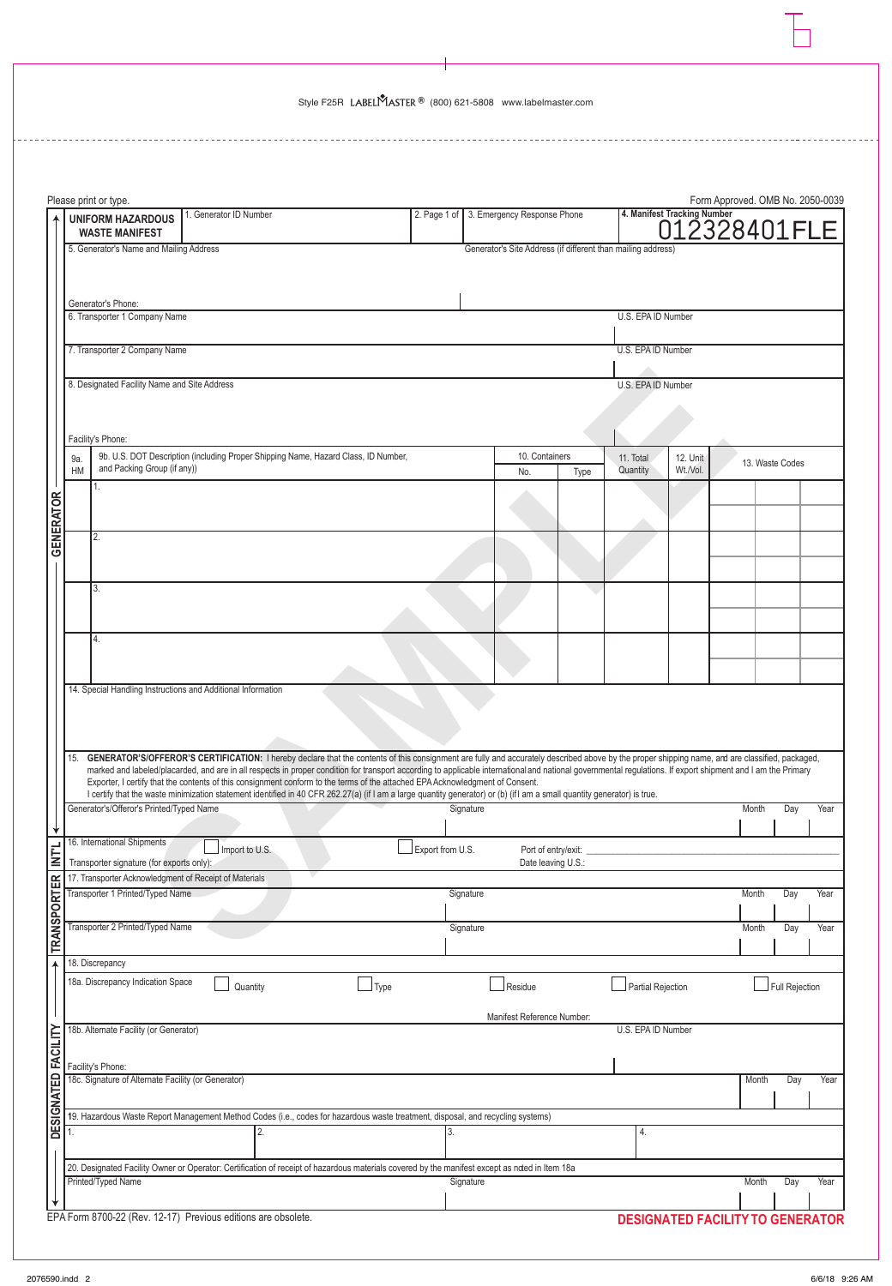L.

|                     |           | Please print or type.                                                    |                                                                                                                                                                                                                                                                                                                                                                                                                 |             |                  |           |                                                              |      |                       |                             | Form Approved. OMB No. 2050-0039        |                 |      |  |
|---------------------|-----------|--------------------------------------------------------------------------|-----------------------------------------------------------------------------------------------------------------------------------------------------------------------------------------------------------------------------------------------------------------------------------------------------------------------------------------------------------------------------------------------------------------|-------------|------------------|-----------|--------------------------------------------------------------|------|-----------------------|-----------------------------|-----------------------------------------|-----------------|------|--|
|                     |           | <b>UNIFORM HAZARDOUS</b><br><b>WASTE MANIFEST</b>                        | . Generator ID Number                                                                                                                                                                                                                                                                                                                                                                                           |             |                  |           | 2. Page 1 of 3. Emergency Response Phone                     |      |                       | 4. Manifest Tracking Number | 012328401FLE                            |                 |      |  |
|                     |           | 5. Generator's Name and Mailing Address                                  |                                                                                                                                                                                                                                                                                                                                                                                                                 |             |                  |           | Generator's Site Address (if different than mailing address) |      |                       |                             |                                         |                 |      |  |
|                     |           |                                                                          |                                                                                                                                                                                                                                                                                                                                                                                                                 |             |                  |           |                                                              |      |                       |                             |                                         |                 |      |  |
|                     |           | Generator's Phone:                                                       |                                                                                                                                                                                                                                                                                                                                                                                                                 |             |                  |           |                                                              |      |                       |                             |                                         |                 |      |  |
|                     |           | 6. Transporter 1 Company Name                                            |                                                                                                                                                                                                                                                                                                                                                                                                                 |             |                  |           |                                                              |      | U.S. EPA ID Number    |                             |                                         |                 |      |  |
|                     |           | 7. Transporter 2 Company Name                                            |                                                                                                                                                                                                                                                                                                                                                                                                                 |             |                  |           |                                                              |      | U.S. EPA ID Number    |                             |                                         |                 |      |  |
|                     |           |                                                                          |                                                                                                                                                                                                                                                                                                                                                                                                                 |             |                  |           |                                                              |      |                       |                             |                                         |                 |      |  |
|                     |           | 8. Designated Facility Name and Site Address                             |                                                                                                                                                                                                                                                                                                                                                                                                                 |             |                  |           |                                                              |      | U.S. EPA ID Number    |                             |                                         |                 |      |  |
|                     |           |                                                                          |                                                                                                                                                                                                                                                                                                                                                                                                                 |             |                  |           |                                                              |      |                       |                             |                                         |                 |      |  |
|                     |           | Facility's Phone:                                                        |                                                                                                                                                                                                                                                                                                                                                                                                                 |             |                  |           |                                                              |      |                       |                             |                                         |                 |      |  |
|                     | 9a.<br>HM | and Packing Group (if any))                                              | 9b. U.S. DOT Description (including Proper Shipping Name, Hazard Class, ID Number,                                                                                                                                                                                                                                                                                                                              |             |                  |           | 10. Containers<br>No.                                        | Type | 11. Total<br>Quantity | 12. Unit<br>Wt./Vol.        |                                         | 13. Waste Codes |      |  |
|                     |           | 1.                                                                       |                                                                                                                                                                                                                                                                                                                                                                                                                 |             |                  |           |                                                              |      |                       |                             |                                         |                 |      |  |
|                     |           |                                                                          |                                                                                                                                                                                                                                                                                                                                                                                                                 |             |                  |           |                                                              |      |                       |                             |                                         |                 |      |  |
| <b>GENERATOR</b>    |           | 2.                                                                       |                                                                                                                                                                                                                                                                                                                                                                                                                 |             |                  |           |                                                              |      |                       |                             |                                         |                 |      |  |
|                     |           |                                                                          |                                                                                                                                                                                                                                                                                                                                                                                                                 |             |                  |           |                                                              |      |                       |                             |                                         |                 |      |  |
|                     |           | 3.                                                                       |                                                                                                                                                                                                                                                                                                                                                                                                                 |             |                  |           |                                                              |      |                       |                             |                                         |                 |      |  |
|                     |           |                                                                          |                                                                                                                                                                                                                                                                                                                                                                                                                 |             |                  |           |                                                              |      |                       |                             |                                         |                 |      |  |
|                     |           | 4.                                                                       |                                                                                                                                                                                                                                                                                                                                                                                                                 |             |                  |           |                                                              |      |                       |                             |                                         |                 |      |  |
|                     |           |                                                                          |                                                                                                                                                                                                                                                                                                                                                                                                                 |             |                  |           |                                                              |      |                       |                             |                                         |                 |      |  |
|                     |           |                                                                          | 14. Special Handling Instructions and Additional Information                                                                                                                                                                                                                                                                                                                                                    |             |                  |           |                                                              |      |                       |                             |                                         |                 |      |  |
|                     |           |                                                                          |                                                                                                                                                                                                                                                                                                                                                                                                                 |             |                  |           |                                                              |      |                       |                             |                                         |                 |      |  |
|                     |           |                                                                          |                                                                                                                                                                                                                                                                                                                                                                                                                 |             |                  |           |                                                              |      |                       |                             |                                         |                 |      |  |
|                     | 15.       |                                                                          | GENERATOR'S/OFFEROR'S CERTIFICATION: I hereby declare that the contents of this consignment are fully and accurately described above by the proper shipping name, and are classified, packaged,<br>marked and labeled/placarded, and are in all respects in proper condition for transport according to applicable international and national governmental regulations. If export shipment and I am the Primary |             |                  |           |                                                              |      |                       |                             |                                         |                 |      |  |
|                     |           |                                                                          | Exporter, I certify that the contents of this consignment conform to the terms of the attached EPA Acknowledgment of Consent.<br>I certify that the waste minimization statement identified in 40 CFR 262.27(a) (if I am a large quantity generator) or (b) (if I am a small quantity generator) is true.                                                                                                       |             |                  |           |                                                              |      |                       |                             |                                         |                 |      |  |
|                     |           | Generator's/Offeror's Printed/Typed Name                                 |                                                                                                                                                                                                                                                                                                                                                                                                                 |             |                  | Signature |                                                              |      |                       |                             | Month                                   | Day             | Year |  |
|                     |           | 16. International Shipments                                              |                                                                                                                                                                                                                                                                                                                                                                                                                 |             |                  |           |                                                              |      |                       |                             |                                         |                 |      |  |
| <b>NTL</b>          |           | Transporter signature (for exports only):                                | Import to U.S.                                                                                                                                                                                                                                                                                                                                                                                                  |             | Export from U.S. |           | Port of entry/exit:<br>Date leaving U.S.:                    |      |                       |                             |                                         |                 |      |  |
|                     |           | 17. Transporter Acknowledgment of Receipt of Materials                   |                                                                                                                                                                                                                                                                                                                                                                                                                 |             |                  |           |                                                              |      |                       |                             |                                         |                 |      |  |
|                     |           | Transporter 1 Printed/Typed Name                                         |                                                                                                                                                                                                                                                                                                                                                                                                                 |             |                  | Signature |                                                              |      |                       |                             | Month                                   | Day             | Year |  |
| <b>TRANSPORTER</b>  |           | Transporter 2 Printed/Typed Name                                         |                                                                                                                                                                                                                                                                                                                                                                                                                 |             |                  | Signature |                                                              |      |                       |                             | Month                                   | Day             | Year |  |
|                     |           | 18. Discrepancy                                                          |                                                                                                                                                                                                                                                                                                                                                                                                                 |             |                  |           |                                                              |      |                       |                             |                                         |                 |      |  |
|                     |           | 18a. Discrepancy Indication Space                                        | Quantity                                                                                                                                                                                                                                                                                                                                                                                                        | $\Box$ Type |                  |           | Residue                                                      |      | Partial Rejection     |                             |                                         | Full Rejection  |      |  |
|                     |           |                                                                          |                                                                                                                                                                                                                                                                                                                                                                                                                 |             |                  |           |                                                              |      |                       |                             |                                         |                 |      |  |
|                     |           | 18b. Alternate Facility (or Generator)                                   |                                                                                                                                                                                                                                                                                                                                                                                                                 |             |                  |           | Manifest Reference Number:                                   |      | U.S. EPA ID Number    |                             |                                         |                 |      |  |
|                     |           |                                                                          |                                                                                                                                                                                                                                                                                                                                                                                                                 |             |                  |           |                                                              |      |                       |                             |                                         |                 |      |  |
|                     |           | Facility's Phone:<br>18c. Signature of Alternate Facility (or Generator) |                                                                                                                                                                                                                                                                                                                                                                                                                 |             |                  |           |                                                              |      |                       |                             | Month                                   | Day             | Year |  |
| DESIGNATED FACILITY |           |                                                                          |                                                                                                                                                                                                                                                                                                                                                                                                                 |             |                  |           |                                                              |      |                       |                             |                                         |                 |      |  |
|                     |           |                                                                          | 19. Hazardous Waste Report Management Method Codes (i.e., codes for hazardous waste treatment, disposal, and recycling systems)                                                                                                                                                                                                                                                                                 |             |                  |           |                                                              |      |                       |                             |                                         |                 |      |  |
|                     | 1.        |                                                                          |                                                                                                                                                                                                                                                                                                                                                                                                                 |             | 3.               |           |                                                              |      | 4.                    |                             |                                         |                 |      |  |
|                     |           |                                                                          | 20. Designated Facility Owner or Operator: Certification of receipt of hazardous materials covered by the manifest except as noted in Item 18a                                                                                                                                                                                                                                                                  |             |                  |           |                                                              |      |                       |                             |                                         |                 |      |  |
|                     |           | Printed/Typed Name                                                       |                                                                                                                                                                                                                                                                                                                                                                                                                 |             |                  | Signature |                                                              |      |                       |                             | Month                                   | Day             | Year |  |
|                     |           |                                                                          | EPA Form 8700-22 (Rev. 12-17) Previous editions are obsolete.                                                                                                                                                                                                                                                                                                                                                   |             |                  |           |                                                              |      |                       |                             | <b>DESIGNATED FACILITY TO GENERATOR</b> |                 |      |  |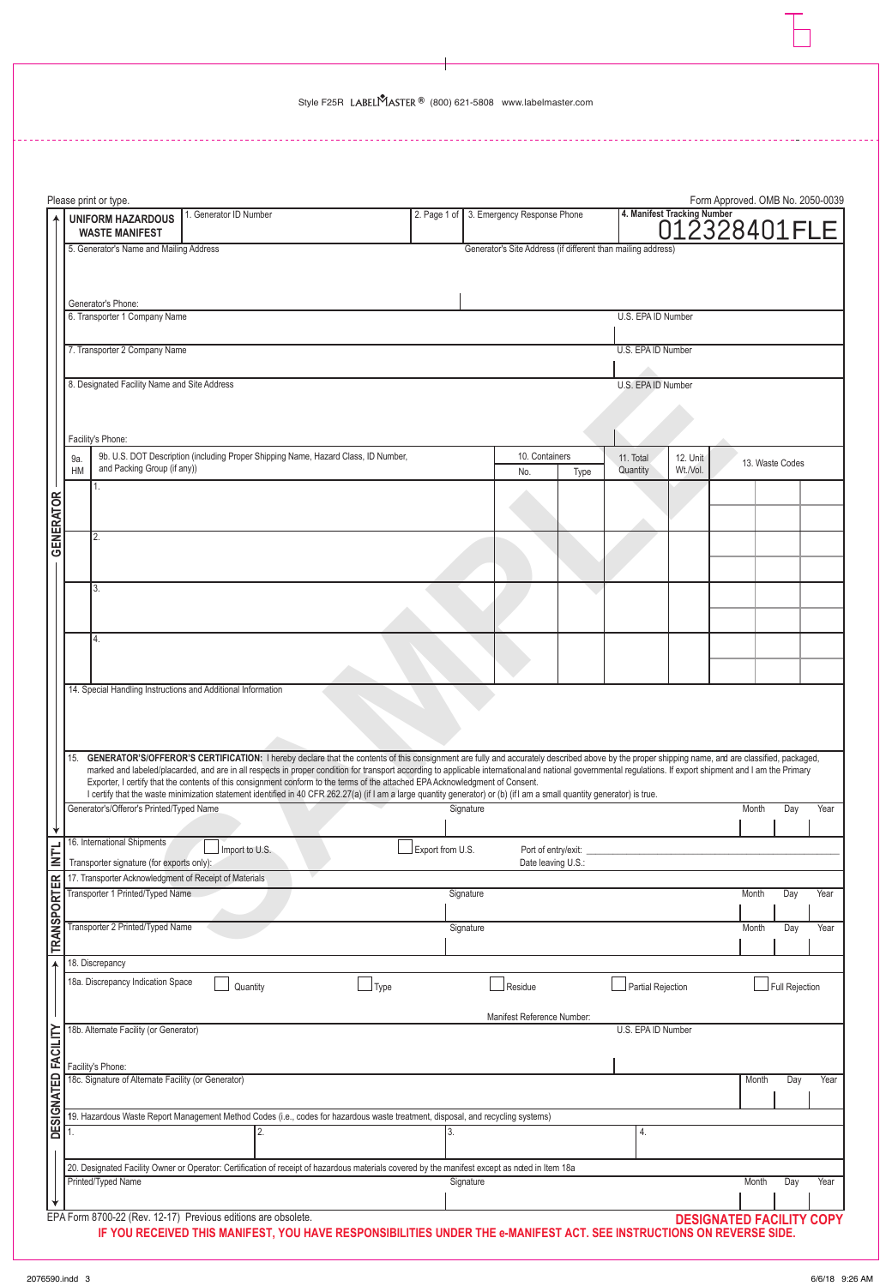|                     |                                                                    | Please print or type.                                                                                                                                                                                                                                                                                                                                                                                           |                        |  |      |                  |           |                                                              |      |                       |                             | Form Approved. OMB No. 2050-0039 |                 |      |
|---------------------|--------------------------------------------------------------------|-----------------------------------------------------------------------------------------------------------------------------------------------------------------------------------------------------------------------------------------------------------------------------------------------------------------------------------------------------------------------------------------------------------------|------------------------|--|------|------------------|-----------|--------------------------------------------------------------|------|-----------------------|-----------------------------|----------------------------------|-----------------|------|
|                     |                                                                    | <b>UNIFORM HAZARDOUS</b><br><b>WASTE MANIFEST</b>                                                                                                                                                                                                                                                                                                                                                               | 1. Generator ID Number |  |      |                  |           | 2. Page 1 of 3. Emergency Response Phone                     |      |                       | 4. Manifest Tracking Number | 012328401FLE                     |                 |      |
|                     |                                                                    | 5. Generator's Name and Mailing Address                                                                                                                                                                                                                                                                                                                                                                         |                        |  |      |                  |           | Generator's Site Address (if different than mailing address) |      |                       |                             |                                  |                 |      |
|                     |                                                                    |                                                                                                                                                                                                                                                                                                                                                                                                                 |                        |  |      |                  |           |                                                              |      |                       |                             |                                  |                 |      |
|                     |                                                                    | Generator's Phone:                                                                                                                                                                                                                                                                                                                                                                                              |                        |  |      |                  |           |                                                              |      |                       |                             |                                  |                 |      |
|                     |                                                                    | 6. Transporter 1 Company Name                                                                                                                                                                                                                                                                                                                                                                                   |                        |  |      |                  |           |                                                              |      | U.S. EPA ID Number    |                             |                                  |                 |      |
|                     |                                                                    | 7. Transporter 2 Company Name                                                                                                                                                                                                                                                                                                                                                                                   |                        |  |      |                  |           |                                                              |      | U.S. EPA ID Number    |                             |                                  |                 |      |
|                     | 8. Designated Facility Name and Site Address<br>U.S. EPA ID Number |                                                                                                                                                                                                                                                                                                                                                                                                                 |                        |  |      |                  |           |                                                              |      |                       |                             |                                  |                 |      |
|                     |                                                                    |                                                                                                                                                                                                                                                                                                                                                                                                                 |                        |  |      |                  |           |                                                              |      |                       |                             |                                  |                 |      |
|                     |                                                                    | Facility's Phone:                                                                                                                                                                                                                                                                                                                                                                                               |                        |  |      |                  |           |                                                              |      |                       |                             |                                  |                 |      |
|                     | 9a.<br><b>HM</b>                                                   | 9b. U.S. DOT Description (including Proper Shipping Name, Hazard Class, ID Number,<br>and Packing Group (if any))                                                                                                                                                                                                                                                                                               |                        |  |      |                  |           | 10. Containers<br>No.                                        | Type | 11. Total<br>Quantity | 12. Unit<br>Wt./Vol.        |                                  | 13. Waste Codes |      |
|                     |                                                                    | 1.                                                                                                                                                                                                                                                                                                                                                                                                              |                        |  |      |                  |           |                                                              |      |                       |                             |                                  |                 |      |
|                     |                                                                    |                                                                                                                                                                                                                                                                                                                                                                                                                 |                        |  |      |                  |           |                                                              |      |                       |                             |                                  |                 |      |
| <b>GENERATOR</b>    |                                                                    | 2.                                                                                                                                                                                                                                                                                                                                                                                                              |                        |  |      |                  |           |                                                              |      |                       |                             |                                  |                 |      |
|                     |                                                                    |                                                                                                                                                                                                                                                                                                                                                                                                                 |                        |  |      |                  |           |                                                              |      |                       |                             |                                  |                 |      |
|                     |                                                                    | 3.                                                                                                                                                                                                                                                                                                                                                                                                              |                        |  |      |                  |           |                                                              |      |                       |                             |                                  |                 |      |
|                     |                                                                    |                                                                                                                                                                                                                                                                                                                                                                                                                 |                        |  |      |                  |           |                                                              |      |                       |                             |                                  |                 |      |
|                     |                                                                    | 4.                                                                                                                                                                                                                                                                                                                                                                                                              |                        |  |      |                  |           |                                                              |      |                       |                             |                                  |                 |      |
|                     |                                                                    |                                                                                                                                                                                                                                                                                                                                                                                                                 |                        |  |      |                  |           |                                                              |      |                       |                             |                                  |                 |      |
|                     |                                                                    | 14. Special Handling Instructions and Additional Information                                                                                                                                                                                                                                                                                                                                                    |                        |  |      |                  |           |                                                              |      |                       |                             |                                  |                 |      |
|                     |                                                                    |                                                                                                                                                                                                                                                                                                                                                                                                                 |                        |  |      |                  |           |                                                              |      |                       |                             |                                  |                 |      |
|                     | 15.                                                                | GENERATOR'S/OFFEROR'S CERTIFICATION: I hereby declare that the contents of this consignment are fully and accurately described above by the proper shipping name, and are classified, packaged,<br>marked and labeled/placarded, and are in all respects in proper condition for transport according to applicable international and national governmental regulations. If export shipment and I am the Primary |                        |  |      |                  |           |                                                              |      |                       |                             |                                  |                 |      |
|                     |                                                                    | Exporter, I certify that the contents of this consignment conform to the terms of the attached EPA Acknowledgment of Consent.<br>I certify that the waste minimization statement identified in 40 CFR 262.27(a) (if I am a large quantity generator) or (b) (if I am a small quantity generator) is true.                                                                                                       |                        |  |      |                  |           |                                                              |      |                       |                             |                                  |                 |      |
|                     |                                                                    | Generator's/Offeror's Printed/Typed Name                                                                                                                                                                                                                                                                                                                                                                        |                        |  |      |                  | Signature |                                                              |      |                       |                             | Month                            | Day             | Year |
| ↡                   |                                                                    | 16. International Shipments                                                                                                                                                                                                                                                                                                                                                                                     | Import to U.S.         |  |      |                  |           |                                                              |      |                       |                             |                                  |                 |      |
| <b>NTL</b>          |                                                                    | Transporter signature (for exports only):                                                                                                                                                                                                                                                                                                                                                                       |                        |  |      | Export from U.S. |           | Port of entry/exit:<br>Date leaving U.S.:                    |      |                       |                             |                                  |                 |      |
|                     |                                                                    | 17. Transporter Acknowledgment of Receipt of Materials<br>Transporter 1 Printed/Typed Name                                                                                                                                                                                                                                                                                                                      |                        |  |      |                  | Signature |                                                              |      |                       |                             | Month                            | Day             | Year |
|                     |                                                                    | Transporter 2 Printed/Typed Name                                                                                                                                                                                                                                                                                                                                                                                |                        |  |      |                  |           |                                                              |      |                       |                             |                                  |                 |      |
| <b>TRANSPORTER</b>  |                                                                    |                                                                                                                                                                                                                                                                                                                                                                                                                 |                        |  |      |                  | Signature |                                                              |      |                       |                             | Month                            | Day             | Year |
| 4                   |                                                                    | 18. Discrepancy                                                                                                                                                                                                                                                                                                                                                                                                 |                        |  |      |                  |           |                                                              |      |                       |                             |                                  |                 |      |
|                     |                                                                    | 18a. Discrepancy Indication Space                                                                                                                                                                                                                                                                                                                                                                               | Quantity               |  | Type |                  |           | Residue                                                      |      | Partial Rejection     |                             |                                  | Full Rejection  |      |
|                     |                                                                    | 18b. Alternate Facility (or Generator)                                                                                                                                                                                                                                                                                                                                                                          |                        |  |      |                  |           | Manifest Reference Number:                                   |      | U.S. EPA ID Number    |                             |                                  |                 |      |
|                     |                                                                    |                                                                                                                                                                                                                                                                                                                                                                                                                 |                        |  |      |                  |           |                                                              |      |                       |                             |                                  |                 |      |
|                     |                                                                    | Facility's Phone:<br>18c. Signature of Alternate Facility (or Generator)                                                                                                                                                                                                                                                                                                                                        |                        |  |      |                  |           |                                                              |      |                       |                             | Month                            | Day             | Year |
| DESIGNATED FACILITY |                                                                    |                                                                                                                                                                                                                                                                                                                                                                                                                 |                        |  |      |                  |           |                                                              |      |                       |                             |                                  |                 |      |
|                     |                                                                    | 19. Hazardous Waste Report Management Method Codes (i.e., codes for hazardous waste treatment, disposal, and recycling systems)                                                                                                                                                                                                                                                                                 |                        |  |      |                  |           |                                                              |      | 4.                    |                             |                                  |                 |      |
|                     |                                                                    |                                                                                                                                                                                                                                                                                                                                                                                                                 |                        |  |      |                  |           |                                                              |      |                       |                             |                                  |                 |      |
|                     |                                                                    | 20. Designated Facility Owner or Operator: Certification of receipt of hazardous materials covered by the manifest except as noted in Item 18a<br>Printed/Typed Name                                                                                                                                                                                                                                            |                        |  |      |                  | Signature |                                                              |      |                       |                             | Month                            | Day             | Year |
|                     |                                                                    |                                                                                                                                                                                                                                                                                                                                                                                                                 |                        |  |      |                  |           |                                                              |      |                       |                             |                                  |                 |      |
|                     |                                                                    | EPA Form 8700-22 (Rev. 12-17) Previous editions are obsolete.                                                                                                                                                                                                                                                                                                                                                   |                        |  |      |                  |           |                                                              |      |                       |                             | <b>DESIGNATED FACILITY COPY</b>  |                 |      |

B700-22 (Rev. 12-17) Previous editions are obsolete.<br>IF YOU RECEIVED THIS MANIFEST, YOU HAVE RESPONSIBILITIES UNDER THE e-MANIFEST ACT. SEE INSTRUCTIONS ON REVERSE SIDE.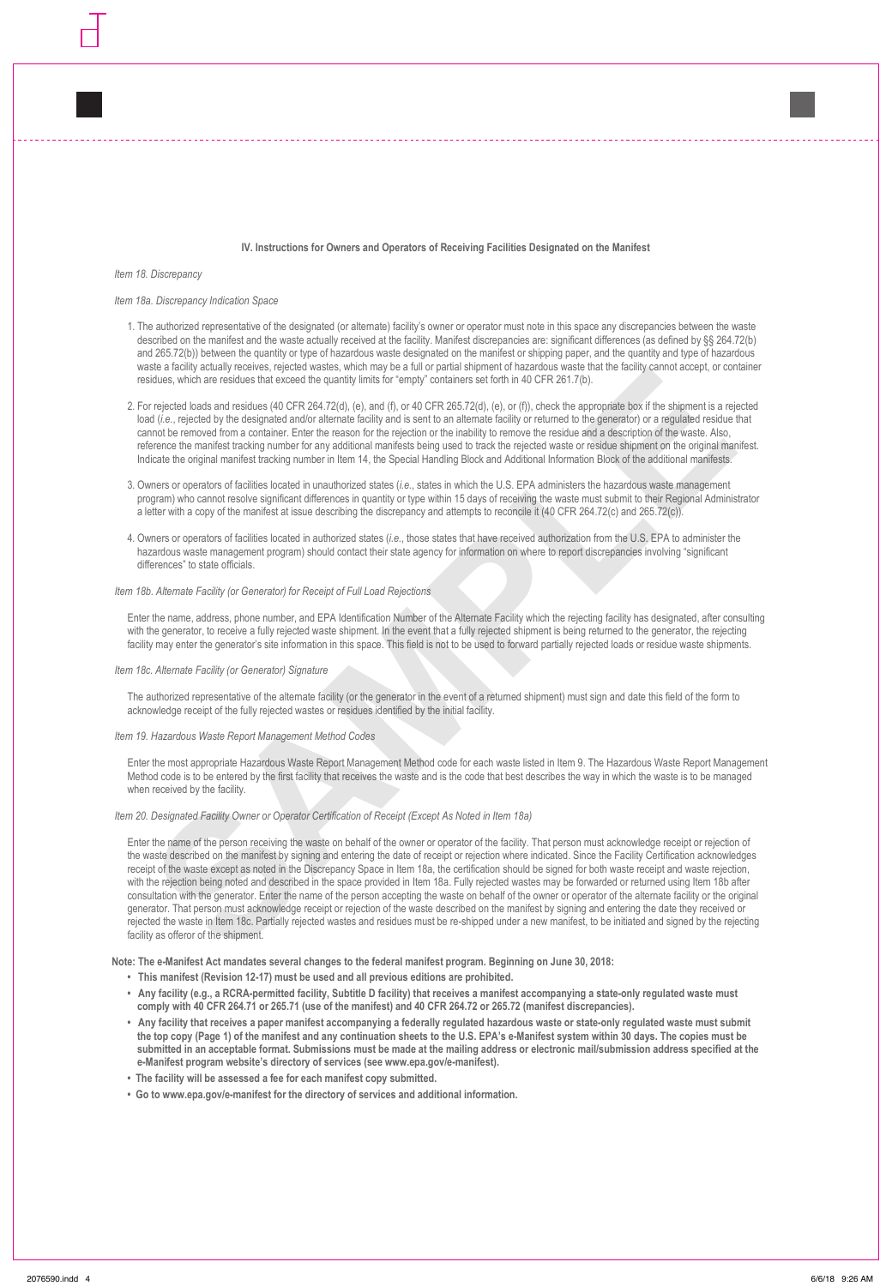#### **IV. Instructions for Owners and Operators of Receiving Facilities Designated on the Manifest**

*Item 18. Discrepancy*

### *Item 18a. Discrepancy Indication Space*

- 1. The authorized representative of the designated (or alternate) facility's owner or operator must note in this space any discrepancies between the waste described on the manifest and the waste actually received at the facility. Manifest discrepancies are: significant differences (as defined by §§ 264.72(b) and 265.72(b)) between the quantity or type of hazardous waste designated on the manifest or shipping paper, and the quantity and type of hazardous waste a facility actually receives, rejected wastes, which may be a full or partial shipment of hazardous waste that the facility cannot accept, or container residues, which are residues that exceed the quantity limits for "empty" containers set forth in 40 CFR 261.7(b).
- 2. For rejected loads and residues (40 CFR 264.72(d), (e), and (f), or 40 CFR 265.72(d), (e), or (f)), check the appropriate box if the shipment is a rejected load (*i.e.*, rejected by the designated and/or alternate facility and is sent to an alternate facility or returned to the generator) or a regulated residue that cannot be removed from a container. Enter the reason for the rejection or the inability to remove the residue and a description of the waste. Also, reference the manifest tracking number for any additional manifests being used to track the rejected waste or residue shipment on the original manifest. Indicate the original manifest tracking number in Item 14, the Special Handling Block and Additional Information Block of the additional manifests.
- 3. Owners or operators of facilities located in unauthorized states (*i.e.*, states in which the U.S. EPA administers the hazardous waste management program) who cannot resolve significant differences in quantity or type within 15 days of receiving the waste must submit to their Regional Administrator a letter with a copy of the manifest at issue describing the discrepancy and attempts to reconcile it (40 CFR 264.72(c) and 265.72(c)).
- 4. Owners or operators of facilities located in authorized states (*i.e.*, those states that have received authorization from the U.S. EPA to administer the hazardous waste management program) should contact their state agency for information on where to report discrepancies involving "significant differences" to state officials.

## *Item 18b. Alternate Facility (or Generator) for Receipt of Full Load Rejections*

Enter the name, address, phone number, and EPA Identification Number of the Alternate Facility which the rejecting facility has designated, after consulting with the generator, to receive a fully rejected waste shipment. In the event that a fully rejected shipment is being returned to the generator, the rejecting facility may enter the generator's site information in this space. This field is not to be used to forward partially rejected loads or residue waste shipments.

### *Item 18c. Alternate Facility (or Generator) Signature*

The authorized representative of the alternate facility (or the generator in the event of a returned shipment) must sign and date this field of the form to acknowledge receipt of the fully rejected wastes or residues identified by the initial facility.

# *Item 19. Hazardous Waste Report Management Method Codes*

Enter the most appropriate Hazardous Waste Report Management Method code for each waste listed in Item 9. The Hazardous Waste Report Management Method code is to be entered by the first facility that receives the waste and is the code that best describes the way in which the waste is to be managed when received by the facility.

## *Item 20. Designated Facility Owner or Operator Certification of Receipt (Except As Noted in Item 18a)*

assa matrix actually received repeated was who may as also to the matterial particle can be a started by the started by the started by the started by the started by the started by the started by the started by the started Enter the name of the person receiving the waste on behalf of the owner or operator of the facility. That person must acknowledge receipt or rejection of the waste described on the manifest by signing and entering the date of receipt or rejection where indicated. Since the Facility Certification acknowledges receipt of the waste except as noted in the Discrepancy Space in Item 18a, the certification should be signed for both waste receipt and waste rejection, with the rejection being noted and described in the space provided in Item 18a. Fully rejected wastes may be forwarded or returned using Item 18b after consultation with the generator. Enter the name of the person accepting the waste on behalf of the owner or operator of the alternate facility or the original generator. That person must acknowledge receipt or rejection of the waste described on the manifest by signing and entering the date they received or rejected the waste in Item 18c. Partially rejected wastes and residues must be re-shipped under a new manifest, to be initiated and signed by the rejecting facility as offeror of the shipment.

**Note: The e-Manifest Act mandates several changes to the federal manifest program. Beginning on June 30, 2018:**

- **This manifest (Revision 12-17) must be used and all previous editions are prohibited.**
- **Any facility (e.g., a RCRA-permitted facility, Subtitle D facility) that receives a manifest accompanying a state-only regulated waste must comply with 40 CFR 264.71 or 265.71 (use of the manifest) and 40 CFR 264.72 or 265.72 (manifest discrepancies).**
- **Any facility that receives a paper manifest accompanying a federally regulated hazardous waste or state-only regulated waste must submit the top copy (Page 1) of the manifest and any continuation sheets to the U.S. EPA's e-Manifest system within 30 days. The copies must be submitted in an acceptable format. Submissions must be made at the mailing address or electronic mail/submission address specified at the e-Manifest program website's directory of services (see www.epa.gov/e-manifest).**
- **The facility will be assessed a fee for each manifest copy submitted.**
- **Go to www.epa.gov/e-manifest for the directory of services and additional information.**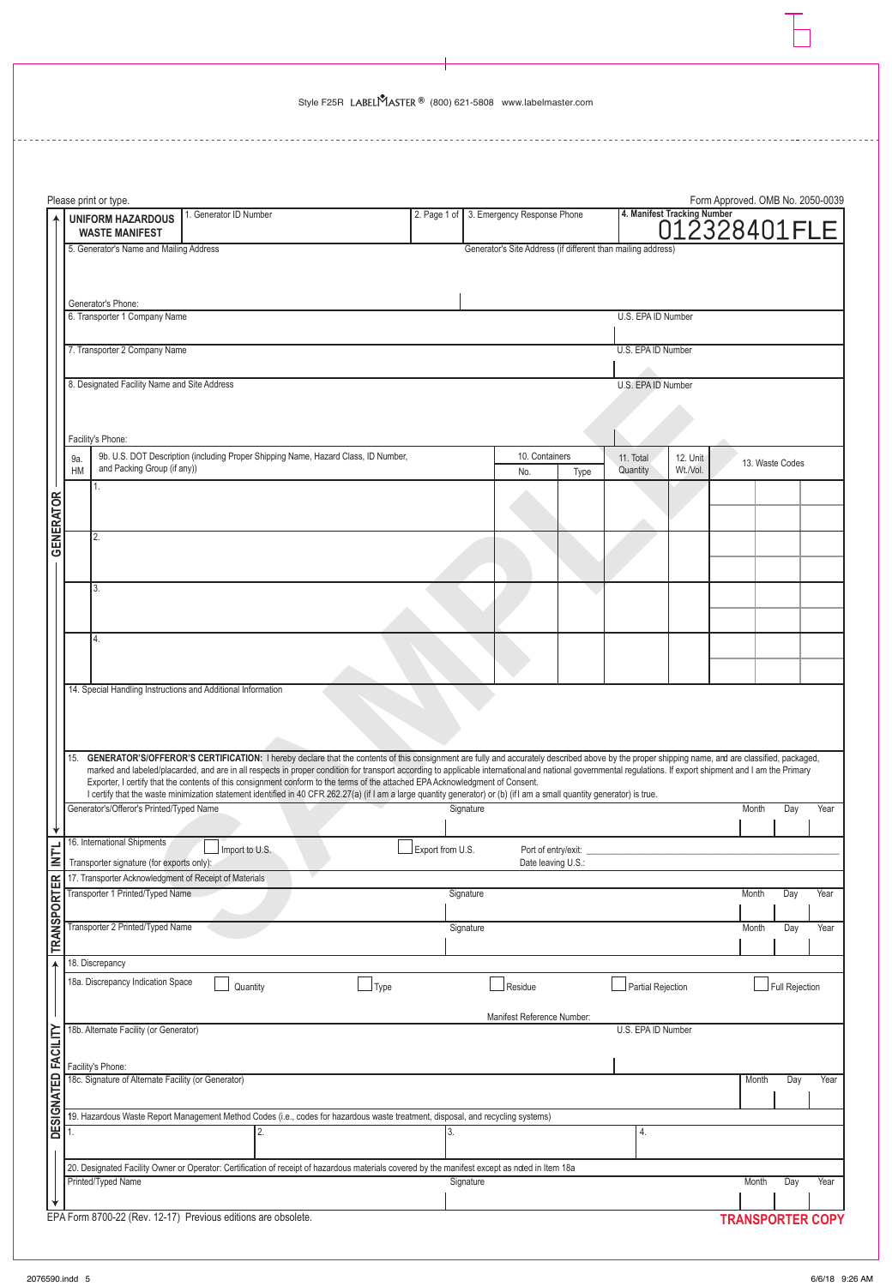L.

|                     |                                                                    | Please print or type.                                                                      |                                                                                                                                                                                                                                                                                                                                                                                                                 |                  |           |                                                              |      |                       |                      | Form Approved. OMB No. 2050-0039            |                 |      |
|---------------------|--------------------------------------------------------------------|--------------------------------------------------------------------------------------------|-----------------------------------------------------------------------------------------------------------------------------------------------------------------------------------------------------------------------------------------------------------------------------------------------------------------------------------------------------------------------------------------------------------------|------------------|-----------|--------------------------------------------------------------|------|-----------------------|----------------------|---------------------------------------------|-----------------|------|
|                     |                                                                    | <b>UNIFORM HAZARDOUS</b><br><b>WASTE MANIFEST</b>                                          | 1. Generator ID Number                                                                                                                                                                                                                                                                                                                                                                                          | 2. Page 1 of     |           | 3. Emergency Response Phone                                  |      |                       |                      | 4. Manifest Tracking Number<br>012328401FLE |                 |      |
|                     |                                                                    | 5. Generator's Name and Mailing Address                                                    |                                                                                                                                                                                                                                                                                                                                                                                                                 |                  |           | Generator's Site Address (if different than mailing address) |      |                       |                      |                                             |                 |      |
|                     |                                                                    |                                                                                            |                                                                                                                                                                                                                                                                                                                                                                                                                 |                  |           |                                                              |      |                       |                      |                                             |                 |      |
|                     |                                                                    | Generator's Phone:                                                                         |                                                                                                                                                                                                                                                                                                                                                                                                                 |                  |           |                                                              |      |                       |                      |                                             |                 |      |
|                     |                                                                    | 6. Transporter 1 Company Name                                                              |                                                                                                                                                                                                                                                                                                                                                                                                                 |                  |           |                                                              |      | U.S. EPA ID Number    |                      |                                             |                 |      |
|                     |                                                                    | 7. Transporter 2 Company Name                                                              |                                                                                                                                                                                                                                                                                                                                                                                                                 |                  |           |                                                              |      | U.S. EPA ID Number    |                      |                                             |                 |      |
|                     |                                                                    |                                                                                            |                                                                                                                                                                                                                                                                                                                                                                                                                 |                  |           |                                                              |      |                       |                      |                                             |                 |      |
|                     | 8. Designated Facility Name and Site Address<br>U.S. EPA ID Number |                                                                                            |                                                                                                                                                                                                                                                                                                                                                                                                                 |                  |           |                                                              |      |                       |                      |                                             |                 |      |
|                     |                                                                    |                                                                                            |                                                                                                                                                                                                                                                                                                                                                                                                                 |                  |           |                                                              |      |                       |                      |                                             |                 |      |
|                     |                                                                    | Facility's Phone:                                                                          | 9b. U.S. DOT Description (including Proper Shipping Name, Hazard Class, ID Number,                                                                                                                                                                                                                                                                                                                              |                  |           | 10. Containers                                               |      |                       |                      |                                             |                 |      |
|                     | 9a.<br>HM                                                          | and Packing Group (if any))                                                                |                                                                                                                                                                                                                                                                                                                                                                                                                 |                  |           | No.                                                          | Type | 11. Total<br>Quantity | 12. Unit<br>Wt./Vol. |                                             | 13. Waste Codes |      |
|                     |                                                                    |                                                                                            |                                                                                                                                                                                                                                                                                                                                                                                                                 |                  |           |                                                              |      |                       |                      |                                             |                 |      |
|                     |                                                                    |                                                                                            |                                                                                                                                                                                                                                                                                                                                                                                                                 |                  |           |                                                              |      |                       |                      |                                             |                 |      |
| <b>GENERATOR</b>    |                                                                    | 2.                                                                                         |                                                                                                                                                                                                                                                                                                                                                                                                                 |                  |           |                                                              |      |                       |                      |                                             |                 |      |
|                     |                                                                    |                                                                                            |                                                                                                                                                                                                                                                                                                                                                                                                                 |                  |           |                                                              |      |                       |                      |                                             |                 |      |
|                     |                                                                    | 3.                                                                                         |                                                                                                                                                                                                                                                                                                                                                                                                                 |                  |           |                                                              |      |                       |                      |                                             |                 |      |
|                     |                                                                    |                                                                                            |                                                                                                                                                                                                                                                                                                                                                                                                                 |                  |           |                                                              |      |                       |                      |                                             |                 |      |
|                     |                                                                    | 4.                                                                                         |                                                                                                                                                                                                                                                                                                                                                                                                                 |                  |           |                                                              |      |                       |                      |                                             |                 |      |
|                     |                                                                    |                                                                                            |                                                                                                                                                                                                                                                                                                                                                                                                                 |                  |           |                                                              |      |                       |                      |                                             |                 |      |
|                     |                                                                    |                                                                                            | 14. Special Handling Instructions and Additional Information                                                                                                                                                                                                                                                                                                                                                    |                  |           |                                                              |      |                       |                      |                                             |                 |      |
|                     |                                                                    |                                                                                            |                                                                                                                                                                                                                                                                                                                                                                                                                 |                  |           |                                                              |      |                       |                      |                                             |                 |      |
|                     |                                                                    |                                                                                            |                                                                                                                                                                                                                                                                                                                                                                                                                 |                  |           |                                                              |      |                       |                      |                                             |                 |      |
|                     | 15.                                                                |                                                                                            | GENERATOR'S/OFFEROR'S CERTIFICATION: I hereby declare that the contents of this consignment are fully and accurately described above by the proper shipping name, and are classified, packaged,<br>marked and labeled/placarded, and are in all respects in proper condition for transport according to applicable international and national governmental regulations. If export shipment and I am the Primary |                  |           |                                                              |      |                       |                      |                                             |                 |      |
|                     |                                                                    |                                                                                            | Exporter, I certify that the contents of this consignment conform to the terms of the attached EPA Acknowledgment of Consent.<br>I certify that the waste minimization statement identified in 40 CFR 262.27(a) (if I am a large quantity generator) or (b) (if I am a small quantity generator) is true.                                                                                                       |                  |           |                                                              |      |                       |                      |                                             |                 |      |
|                     |                                                                    | Generator's/Offeror's Printed/Typed Name                                                   |                                                                                                                                                                                                                                                                                                                                                                                                                 |                  | Signature |                                                              |      |                       |                      | Month                                       | Day             | Year |
| ↡                   |                                                                    | 16. International Shipments                                                                | Import to U.S.                                                                                                                                                                                                                                                                                                                                                                                                  | Export from U.S. |           | Port of entry/exit:                                          |      |                       |                      |                                             |                 |      |
| <b>NTL</b>          |                                                                    | Transporter signature (for exports only):                                                  |                                                                                                                                                                                                                                                                                                                                                                                                                 |                  |           | Date leaving U.S.:                                           |      |                       |                      |                                             |                 |      |
| <b>TRANSPORTER</b>  |                                                                    | 17. Transporter Acknowledgment of Receipt of Materials<br>Transporter 1 Printed/Typed Name |                                                                                                                                                                                                                                                                                                                                                                                                                 |                  | Signature |                                                              |      |                       |                      | Month                                       | Day             | Year |
|                     |                                                                    |                                                                                            |                                                                                                                                                                                                                                                                                                                                                                                                                 |                  |           |                                                              |      |                       |                      |                                             |                 |      |
|                     |                                                                    | Transporter 2 Printed/Typed Name                                                           |                                                                                                                                                                                                                                                                                                                                                                                                                 |                  | Signature |                                                              |      |                       |                      | Month                                       | Day             | Year |
|                     |                                                                    | 18. Discrepancy                                                                            |                                                                                                                                                                                                                                                                                                                                                                                                                 |                  |           |                                                              |      |                       |                      |                                             |                 |      |
|                     |                                                                    | 18a. Discrepancy Indication Space                                                          | Type<br>Quantity                                                                                                                                                                                                                                                                                                                                                                                                |                  |           | Residue                                                      |      | Partial Rejection     |                      |                                             | Full Rejection  |      |
|                     |                                                                    |                                                                                            |                                                                                                                                                                                                                                                                                                                                                                                                                 |                  |           | Manifest Reference Number:                                   |      |                       |                      |                                             |                 |      |
|                     |                                                                    | 18b. Alternate Facility (or Generator)                                                     |                                                                                                                                                                                                                                                                                                                                                                                                                 |                  |           |                                                              |      | U.S. EPA ID Number    |                      |                                             |                 |      |
|                     |                                                                    | Facility's Phone:                                                                          |                                                                                                                                                                                                                                                                                                                                                                                                                 |                  |           |                                                              |      |                       |                      |                                             |                 |      |
|                     |                                                                    | 18c. Signature of Alternate Facility (or Generator)                                        |                                                                                                                                                                                                                                                                                                                                                                                                                 |                  |           |                                                              |      |                       |                      | Month                                       | Day             | Year |
| DESIGNATED FACILITY |                                                                    |                                                                                            | 19. Hazardous Waste Report Management Method Codes (i.e., codes for hazardous waste treatment, disposal, and recycling systems)                                                                                                                                                                                                                                                                                 |                  |           |                                                              |      |                       |                      |                                             |                 |      |
|                     | l 1.                                                               |                                                                                            |                                                                                                                                                                                                                                                                                                                                                                                                                 |                  |           |                                                              |      | 4.                    |                      |                                             |                 |      |
|                     |                                                                    |                                                                                            |                                                                                                                                                                                                                                                                                                                                                                                                                 |                  |           |                                                              |      |                       |                      |                                             |                 |      |
|                     |                                                                    | Printed/Typed Name                                                                         | 20. Designated Facility Owner or Operator: Certification of receipt of hazardous materials covered by the manifest except as noted in Item 18a                                                                                                                                                                                                                                                                  |                  | Signature |                                                              |      |                       |                      | Month                                       | Day             | Year |
|                     |                                                                    |                                                                                            |                                                                                                                                                                                                                                                                                                                                                                                                                 |                  |           |                                                              |      |                       |                      |                                             |                 |      |
|                     |                                                                    |                                                                                            | EPA Form 8700-22 (Rev. 12-17) Previous editions are obsolete.                                                                                                                                                                                                                                                                                                                                                   |                  |           |                                                              |      |                       |                      | <b>TRANSPORTER COPY</b>                     |                 |      |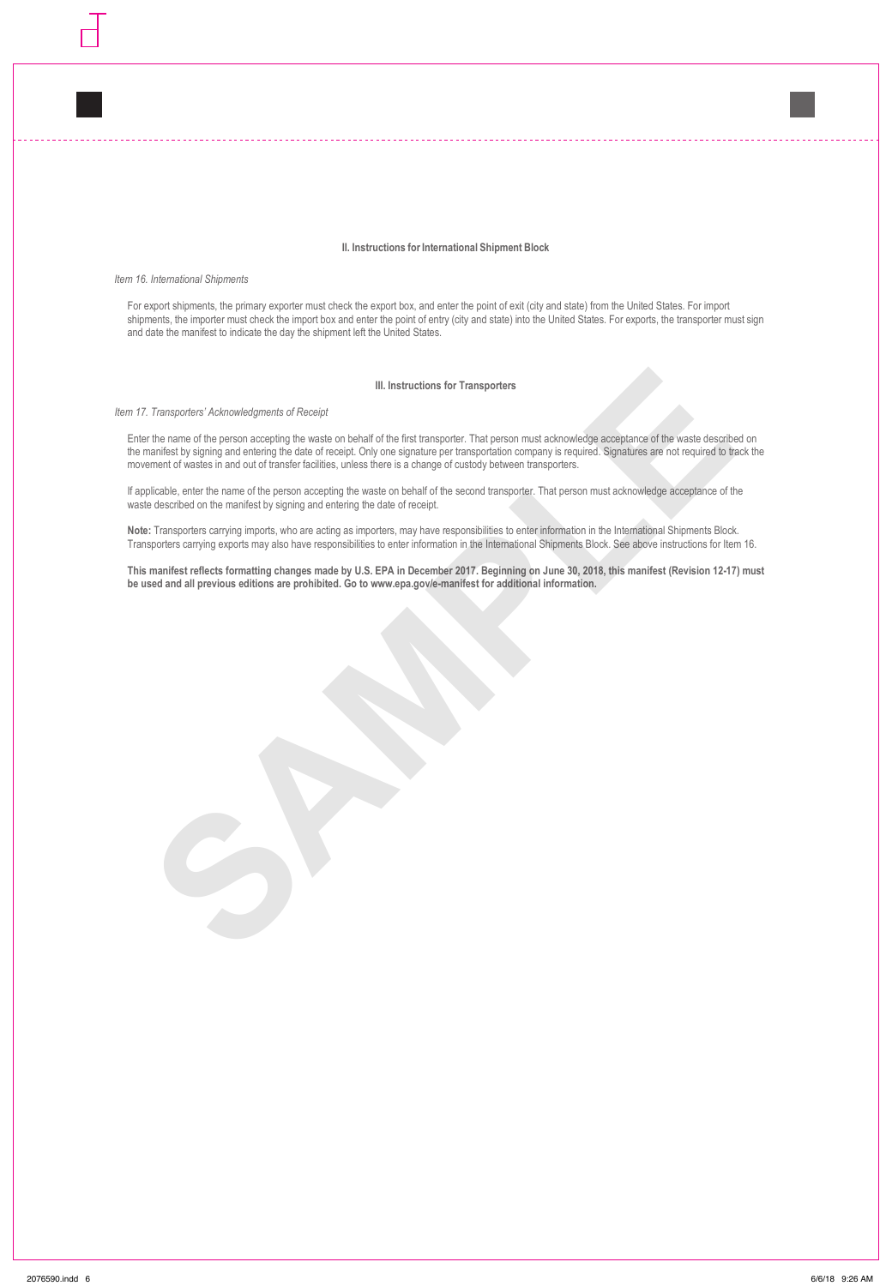## **II. Instructions for International Shipment Block**

*Item 16. International Shipments*

For export shipments, the primary exporter must check the export box, and enter the point of exit (city and state) from the United States. For import shipments, the importer must check the import box and enter the point of entry (city and state) into the United States. For exports, the transporter must sign and date the manifest to indicate the day the shipment left the United States.

## **III. Instructions for Transporters**

*Item 17. Transporters' Acknowledgments of Receipt*

III. Instructions for Transporters.<br>
Transporters: Acknowledgements of Receipt<br>
the market of the principle developed by and the first transporter. That person must addressive comparison of the weak describes<br>
the first pr Enter the name of the person accepting the waste on behalf of the first transporter. That person must acknowledge acceptance of the waste described on the manifest by signing and entering the date of receipt. Only one signature per transportation company is required. Signatures are not required to track the movement of wastes in and out of transfer facilities, unless there is a change of custody between transporters.

If applicable, enter the name of the person accepting the waste on behalf of the second transporter. That person must acknowledge acceptance of the waste described on the manifest by signing and entering the date of receipt.

**Note:** Transporters carrying imports, who are acting as importers, may have responsibilities to enter information in the International Shipments Block. Transporters carrying exports may also have responsibilities to enter information in the International Shipments Block. See above instructions for Item 16.

**This manifest reflects formatting changes made by U.S. EPA in December 2017. Beginning on June 30, 2018, this manifest (Revision 12-17) must be used and all previous editions are prohibited. Go to www.epa.gov/e-manifest for additional information.**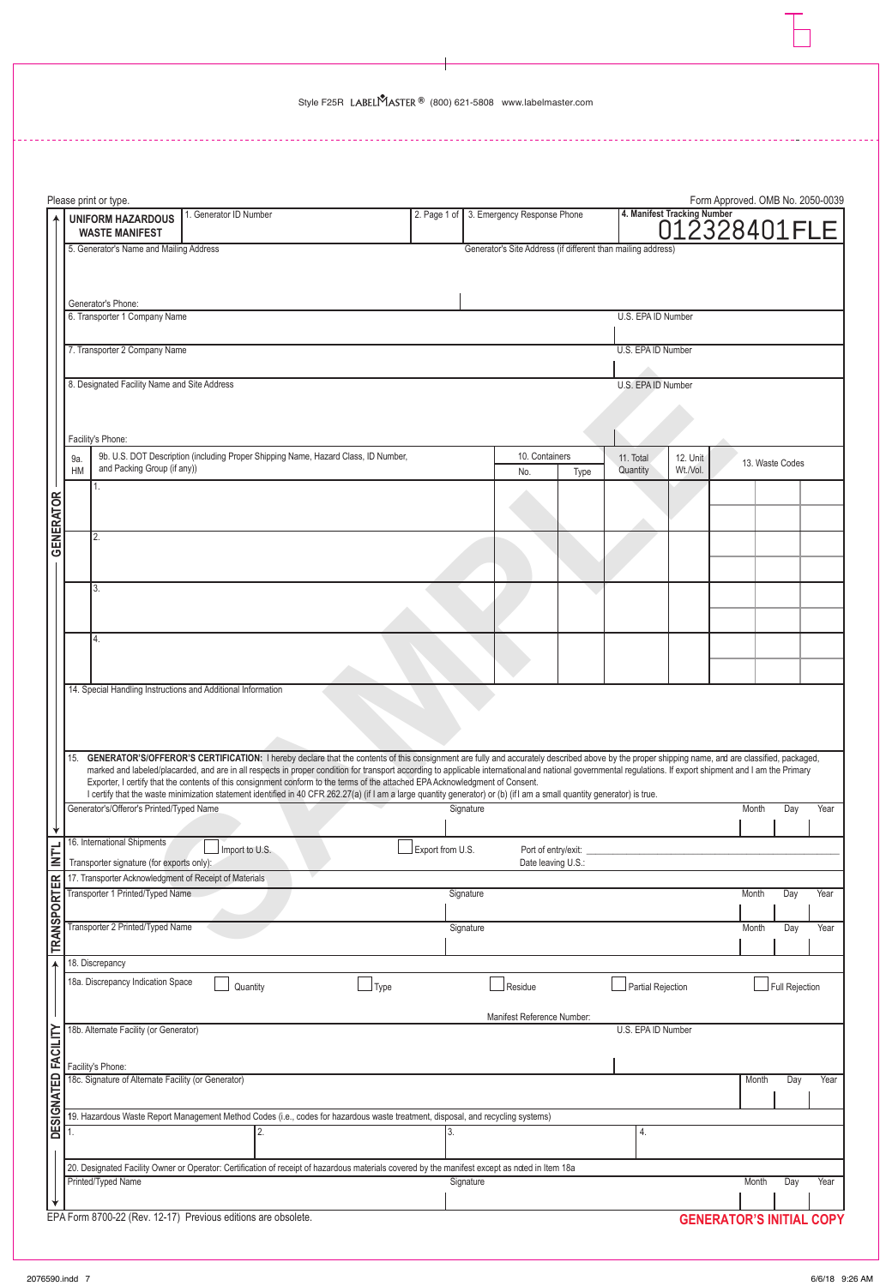**The Contract of the Contract of the Contract of the Contract of the Contract of the Contract of the Contract o** 

|                     |           | Please print or type.                                                                                                                                                                                                                                                                                                                                                                                           |                        |      |                  |           |                                                              |      |                    |          | Form Approved. OMB No. 2050-0039            |                 |      |
|---------------------|-----------|-----------------------------------------------------------------------------------------------------------------------------------------------------------------------------------------------------------------------------------------------------------------------------------------------------------------------------------------------------------------------------------------------------------------|------------------------|------|------------------|-----------|--------------------------------------------------------------|------|--------------------|----------|---------------------------------------------|-----------------|------|
|                     |           | <b>UNIFORM HAZARDOUS</b><br><b>WASTE MANIFEST</b>                                                                                                                                                                                                                                                                                                                                                               | 1. Generator ID Number |      |                  |           | 2. Page 1 of 3. Emergency Response Phone                     |      |                    |          | 4. Manifest Tracking Number<br>012328401FLE |                 |      |
|                     |           | 5. Generator's Name and Mailing Address                                                                                                                                                                                                                                                                                                                                                                         |                        |      |                  |           | Generator's Site Address (if different than mailing address) |      |                    |          |                                             |                 |      |
|                     |           |                                                                                                                                                                                                                                                                                                                                                                                                                 |                        |      |                  |           |                                                              |      |                    |          |                                             |                 |      |
|                     |           | Generator's Phone:                                                                                                                                                                                                                                                                                                                                                                                              |                        |      |                  |           |                                                              |      |                    |          |                                             |                 |      |
|                     |           | 6. Transporter 1 Company Name                                                                                                                                                                                                                                                                                                                                                                                   |                        |      |                  |           |                                                              |      | U.S. EPA ID Number |          |                                             |                 |      |
|                     |           | 7. Transporter 2 Company Name                                                                                                                                                                                                                                                                                                                                                                                   |                        |      |                  |           |                                                              |      | U.S. EPA ID Number |          |                                             |                 |      |
|                     |           | 8. Designated Facility Name and Site Address                                                                                                                                                                                                                                                                                                                                                                    |                        |      |                  |           |                                                              |      | U.S. EPA ID Number |          |                                             |                 |      |
|                     |           |                                                                                                                                                                                                                                                                                                                                                                                                                 |                        |      |                  |           |                                                              |      |                    |          |                                             |                 |      |
|                     |           |                                                                                                                                                                                                                                                                                                                                                                                                                 |                        |      |                  |           |                                                              |      |                    |          |                                             |                 |      |
|                     | 9a.       | Facility's Phone:<br>9b. U.S. DOT Description (including Proper Shipping Name, Hazard Class, ID Number,                                                                                                                                                                                                                                                                                                         |                        |      |                  |           | 10. Containers                                               |      | 11. Total          | 12. Unit |                                             | 13. Waste Codes |      |
|                     | <b>HM</b> | and Packing Group (if any))<br>1.                                                                                                                                                                                                                                                                                                                                                                               |                        |      |                  |           | No.                                                          | Type | Quantity           | Wt./Vol. |                                             |                 |      |
| <b>GENERATOR</b>    |           |                                                                                                                                                                                                                                                                                                                                                                                                                 |                        |      |                  |           |                                                              |      |                    |          |                                             |                 |      |
|                     |           | 2.                                                                                                                                                                                                                                                                                                                                                                                                              |                        |      |                  |           |                                                              |      |                    |          |                                             |                 |      |
|                     |           |                                                                                                                                                                                                                                                                                                                                                                                                                 |                        |      |                  |           |                                                              |      |                    |          |                                             |                 |      |
|                     |           | 3.                                                                                                                                                                                                                                                                                                                                                                                                              |                        |      |                  |           |                                                              |      |                    |          |                                             |                 |      |
|                     |           |                                                                                                                                                                                                                                                                                                                                                                                                                 |                        |      |                  |           |                                                              |      |                    |          |                                             |                 |      |
|                     |           | 4.                                                                                                                                                                                                                                                                                                                                                                                                              |                        |      |                  |           |                                                              |      |                    |          |                                             |                 |      |
|                     |           |                                                                                                                                                                                                                                                                                                                                                                                                                 |                        |      |                  |           |                                                              |      |                    |          |                                             |                 |      |
|                     |           | 14. Special Handling Instructions and Additional Information                                                                                                                                                                                                                                                                                                                                                    |                        |      |                  |           |                                                              |      |                    |          |                                             |                 |      |
|                     |           |                                                                                                                                                                                                                                                                                                                                                                                                                 |                        |      |                  |           |                                                              |      |                    |          |                                             |                 |      |
|                     |           |                                                                                                                                                                                                                                                                                                                                                                                                                 |                        |      |                  |           |                                                              |      |                    |          |                                             |                 |      |
|                     | 15.       | GENERATOR'S/OFFEROR'S CERTIFICATION: I hereby declare that the contents of this consignment are fully and accurately described above by the proper shipping name, and are classified, packaged,<br>marked and labeled/placarded, and are in all respects in proper condition for transport according to applicable international and national governmental regulations. If export shipment and I am the Primary |                        |      |                  |           |                                                              |      |                    |          |                                             |                 |      |
|                     |           | Exporter, I certify that the contents of this consignment conform to the terms of the attached EPA Acknowledgment of Consent.<br>I certify that the waste minimization statement identified in 40 CFR 262.27(a) (if I am a large quantity generator) or (b) (if I am a small quantity generator) is true.                                                                                                       |                        |      |                  |           |                                                              |      |                    |          |                                             |                 |      |
|                     |           | Generator's/Offeror's Printed/Typed Name                                                                                                                                                                                                                                                                                                                                                                        |                        |      |                  | Signature |                                                              |      |                    |          | Month                                       | Day             | Year |
| $\downarrow$        |           | 16. International Shipments                                                                                                                                                                                                                                                                                                                                                                                     | Import to U.S.         |      | Export from U.S. |           | Port of entry/exit:                                          |      |                    |          |                                             |                 |      |
| <b>INTL</b>         |           | Transporter signature (for exports only):                                                                                                                                                                                                                                                                                                                                                                       |                        |      |                  |           | Date leaving U.S.:                                           |      |                    |          |                                             |                 |      |
|                     |           | 17. Transporter Acknowledgment of Receipt of Materials<br>Transporter 1 Printed/Typed Name                                                                                                                                                                                                                                                                                                                      |                        |      |                  | Signature |                                                              |      |                    |          | Month                                       | Day             | Year |
|                     |           |                                                                                                                                                                                                                                                                                                                                                                                                                 |                        |      |                  |           |                                                              |      |                    |          |                                             |                 |      |
| <b>TRANSPORTER</b>  |           | Transporter 2 Printed/Typed Name                                                                                                                                                                                                                                                                                                                                                                                |                        |      |                  | Signature |                                                              |      |                    |          | Month                                       | Day             | Year |
| $\ddot{\textbf{r}}$ |           | 18. Discrepancy                                                                                                                                                                                                                                                                                                                                                                                                 |                        |      |                  |           |                                                              |      |                    |          |                                             |                 |      |
|                     |           | 18a. Discrepancy Indication Space                                                                                                                                                                                                                                                                                                                                                                               | Quantity               | Type |                  |           | Residue                                                      |      | Partial Rejection  |          |                                             | Full Rejection  |      |
|                     |           |                                                                                                                                                                                                                                                                                                                                                                                                                 |                        |      |                  |           | Manifest Reference Number:                                   |      |                    |          |                                             |                 |      |
| DESIGNATED FACILITY |           | 18b. Alternate Facility (or Generator)                                                                                                                                                                                                                                                                                                                                                                          |                        |      |                  |           |                                                              |      | U.S. EPA ID Number |          |                                             |                 |      |
|                     |           | Facility's Phone:                                                                                                                                                                                                                                                                                                                                                                                               |                        |      |                  |           |                                                              |      |                    |          |                                             |                 |      |
|                     |           | 18c. Signature of Alternate Facility (or Generator)                                                                                                                                                                                                                                                                                                                                                             |                        |      |                  |           |                                                              |      |                    |          | Month                                       | Day             | Year |
|                     |           | 19. Hazardous Waste Report Management Method Codes (i.e., codes for hazardous waste treatment, disposal, and recycling systems)                                                                                                                                                                                                                                                                                 |                        |      |                  |           |                                                              |      |                    |          |                                             |                 |      |
|                     |           |                                                                                                                                                                                                                                                                                                                                                                                                                 |                        |      |                  |           |                                                              |      | $\overline{4}$     |          |                                             |                 |      |
|                     |           | 20. Designated Facility Owner or Operator: Certification of receipt of hazardous materials covered by the manifest except as noted in Item 18a                                                                                                                                                                                                                                                                  |                        |      |                  |           |                                                              |      |                    |          |                                             |                 |      |
|                     |           | Printed/Typed Name                                                                                                                                                                                                                                                                                                                                                                                              |                        |      |                  | Signature |                                                              |      |                    |          | Month                                       | Day             | Year |
|                     |           |                                                                                                                                                                                                                                                                                                                                                                                                                 |                        |      |                  |           |                                                              |      |                    |          |                                             |                 |      |

 $\overline{a}$